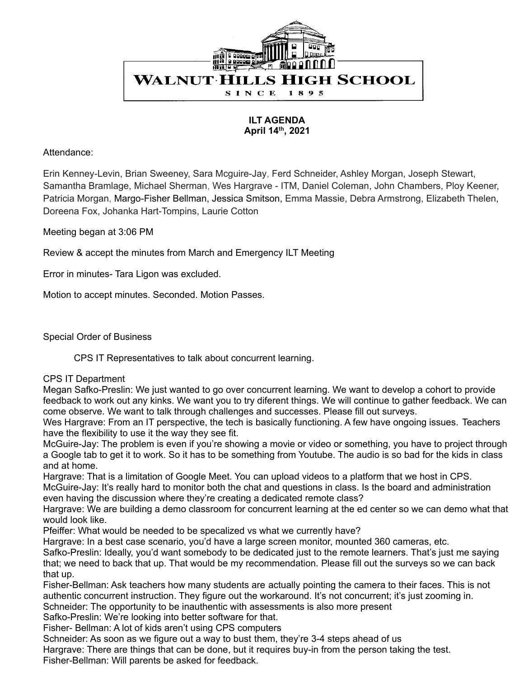

### **ILT AGENDA April 14 th , 2021**

### Attendance:

Erin Kenney-Levin, Brian Sweeney, Sara Mcguire-Jay, Ferd Schneider, Ashley Morgan, Joseph Stewart, Samantha Bramlage, Michael Sherman, Wes Hargrave - ITM, Daniel Coleman, John Chambers, Ploy Keener, Patricia Morgan, Margo-Fisher Bellman, Jessica Smitson, Emma Massie, Debra Armstrong, Elizabeth Thelen, Doreena Fox, Johanka Hart-Tompins, Laurie Cotton

Meeting began at 3:06 PM

Review & accept the minutes from March and Emergency ILT Meeting

Error in minutes- Tara Ligon was excluded.

Motion to accept minutes. Seconded. Motion Passes.

Special Order of Business

CPS IT Representatives to talk about concurrent learning.

CPS IT Department

Megan Safko-Preslin: We just wanted to go over concurrent learning. We want to develop a cohort to provide feedback to work out any kinks. We want you to try diferent things. We will continue to gather feedback. We can come observe. We want to talk through challenges and successes. Please fill out surveys.

Wes Hargrave: From an IT perspective, the tech is basically functioning. A few have ongoing issues. Teachers have the flexibility to use it the way they see fit.

McGuire-Jay: The problem is even if you're showing a movie or video or something, you have to project through a Google tab to get it to work. So it has to be something from Youtube. The audio is so bad for the kids in class and at home.

Hargrave: That is a limitation of Google Meet. You can upload videos to a platform that we host in CPS. McGuire-Jay: It's really hard to monitor both the chat and questions in class. Is the board and administration even having the discussion where they're creating a dedicated remote class?

Hargrave: We are building a demo classroom for concurrent learning at the ed center so we can demo what that would look like.

Pfeiffer: What would be needed to be specalized vs what we currently have?

Hargrave: In a best case scenario, you'd have a large screen monitor, mounted 360 cameras, etc.

Safko-Preslin: Ideally, you'd want somebody to be dedicated just to the remote learners. That's just me saying that; we need to back that up. That would be my recommendation. Please fill out the surveys so we can back that up.

Fisher-Bellman: Ask teachers how many students are actually pointing the camera to their faces. This is not authentic concurrent instruction. They figure out the workaround. It's not concurrent; it's just zooming in.

Schneider: The opportunity to be inauthentic with assessments is also more present

Safko-Preslin: We're looking into better software for that.

Fisher- Bellman: A lot of kids aren't using CPS computers

Schneider: As soon as we figure out a way to bust them, they're 3-4 steps ahead of us

Hargrave: There are things that can be done, but it requires buy-in from the person taking the test.

Fisher-Bellman: Will parents be asked for feedback.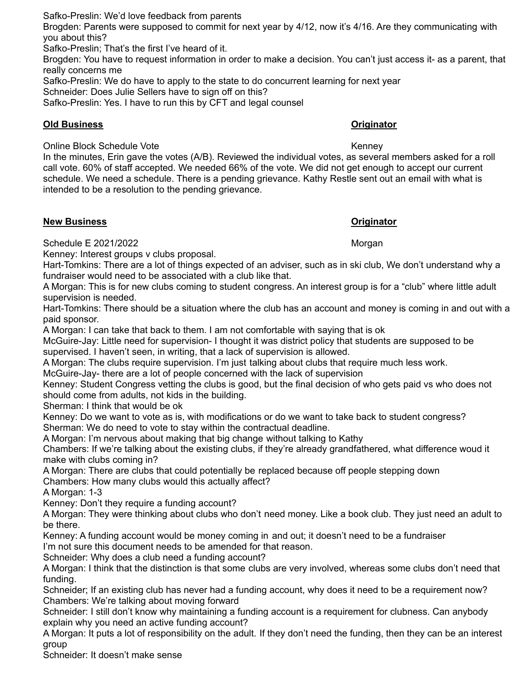Safko-Preslin: We'd love feedback from parents

Brogden: Parents were supposed to commit for next year by 4/12, now it's 4/16. Are they communicating with you about this?

Safko-Preslin; That's the first I've heard of it.

Brogden: You have to request information in order to make a decision. You can't just access it- as a parent, that really concerns me

Safko-Preslin: We do have to apply to the state to do concurrent learning for next year Schneider: Does Julie Sellers have to sign off on this?

Safko-Preslin: Yes. I have to run this by CFT and legal counsel

# **Old Business Originator**

Online Block Schedule Vote Kenney Network and American Schedule Vote Kenney

In the minutes, Erin gave the votes (A/B). Reviewed the individual votes, as several members asked for a roll call vote. 60% of staff accepted. We needed 66% of the vote. We did not get enough to accept our current schedule. We need a schedule. There is a pending grievance. Kathy Restle sent out an email with what is intended to be a resolution to the pending grievance.

## **New Business Originator**

Schedule E 2021/2022 **Morgan** Morgan Morgan Morgan Morgan Morgan Morgan Morgan Morgan Morgan Morgan Morgan Morgan Morgan Morgan Morgan Morgan Morgan Morgan Morgan Morgan Morgan Morgan Morgan Morgan Morgan Morgan Morgan Mor

Kenney: Interest groups v clubs proposal.

Hart-Tomkins: There are a lot of things expected of an adviser, such as in ski club, We don't understand why a fundraiser would need to be associated with a club like that.

A Morgan: This is for new clubs coming to student congress. An interest group is for a "club" where little adult supervision is needed.

Hart-Tomkins: There should be a situation where the club has an account and money is coming in and out with a paid sponsor.

A Morgan: I can take that back to them. I am not comfortable with saying that is ok

McGuire-Jay: Little need for supervision- I thought it was district policy that students are supposed to be supervised. I haven't seen, in writing, that a lack of supervision is allowed.

A Morgan: The clubs require supervision. I'm just talking about clubs that require much less work.

McGuire-Jay- there are a lot of people concerned with the lack of supervision

Kenney: Student Congress vetting the clubs is good, but the final decision of who gets paid vs who does not should come from adults, not kids in the building.

Sherman: I think that would be ok

Kenney: Do we want to vote as is, with modifications or do we want to take back to student congress? Sherman: We do need to vote to stay within the contractual deadline.

A Morgan: I'm nervous about making that big change without talking to Kathy

Chambers: If we're talking about the existing clubs, if they're already grandfathered, what difference woud it make with clubs coming in?

A Morgan: There are clubs that could potentially be replaced because off people stepping down

Chambers: How many clubs would this actually affect?

A Morgan: 1-3

Kenney: Don't they require a funding account?

A Morgan: They were thinking about clubs who don't need money. Like a book club. They just need an adult to be there.

Kenney: A funding account would be money coming in and out; it doesn't need to be a fundraiser I'm not sure this document needs to be amended for that reason.

Schneider: Why does a club need a funding account?

A Morgan: I think that the distinction is that some clubs are very involved, whereas some clubs don't need that funding.

Schneider; If an existing club has never had a funding account, why does it need to be a requirement now? Chambers: We're talking about moving forward

Schneider: I still don't know why maintaining a funding account is a requirement for clubness. Can anybody explain why you need an active funding account?

A Morgan: It puts a lot of responsibility on the adult. If they don't need the funding, then they can be an interest group

Schneider: It doesn't make sense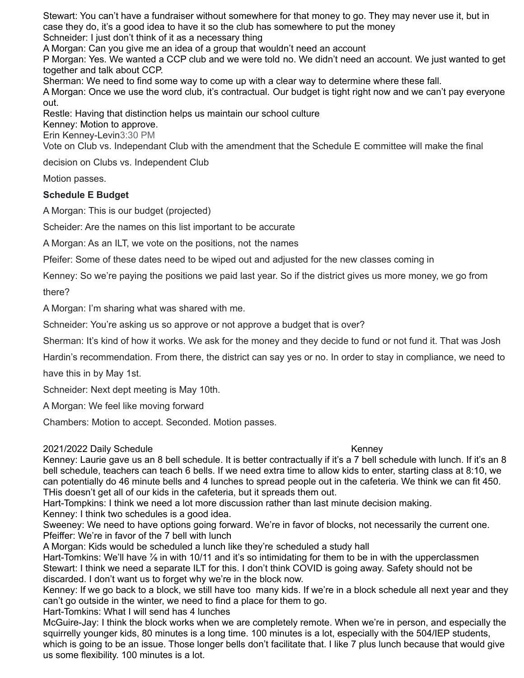Stewart: You can't have a fundraiser without somewhere for that money to go. They may never use it, but in case they do, it's a good idea to have it so the club has somewhere to put the money

Schneider: I just don't think of it as a necessary thing

A Morgan: Can you give me an idea of a group that wouldn't need an account

P Morgan: Yes. We wanted a CCP club and we were told no. We didn't need an account. We just wanted to get together and talk about CCP.

Sherman: We need to find some way to come up with a clear way to determine where these fall.

A Morgan: Once we use the word club, it's contractual. Our budget is tight right now and we can't pay everyone out.

Restle: Having that distinction helps us maintain our school culture

Kenney: Motion to approve.

Erin Kenney-Levin3:30 PM

Vote on Club vs. Independant Club with the amendment that the Schedule E committee will make the final

decision on Clubs vs. Independent Club

Motion passes.

### **Schedule E Budget**

A Morgan: This is our budget (projected)

Scheider: Are the names on this list important to be accurate

A Morgan: As an ILT, we vote on the positions, not the names

Pfeifer: Some of these dates need to be wiped out and adjusted for the new classes coming in

Kenney: So we're paying the positions we paid last year. So if the district gives us more money, we go from there?

A Morgan: I'm sharing what was shared with me.

Schneider: You're asking us so approve or not approve a budget that is over?

Sherman: It's kind of how it works. We ask for the money and they decide to fund or not fund it. That was Josh

Hardin's recommendation. From there, the district can say yes or no. In order to stay in compliance, we need to

have this in by May 1st.

Schneider: Next dept meeting is May 10th.

A Morgan: We feel like moving forward

Chambers: Motion to accept. Seconded. Motion passes.

### 2021/2022 Daily Schedule **Kenney**

Kenney: Laurie gave us an 8 bell schedule. It is better contractually if it's a 7 bell schedule with lunch. If it's an 8 bell schedule, teachers can teach 6 bells. If we need extra time to allow kids to enter, starting class at 8:10, we can potentially do 46 minute bells and 4 lunches to spread people out in the cafeteria. We think we can fit 450. THis doesn't get all of our kids in the cafeteria, but it spreads them out.

Hart-Tompkins: I think we need a lot more discussion rather than last minute decision making.

Kenney: I think two schedules is a good idea.

Sweeney: We need to have options going forward. We're in favor of blocks, not necessarily the current one. Pfeiffer: We're in favor of the 7 bell with lunch

A Morgan: Kids would be scheduled a lunch like they're scheduled a study hall

Hart-Tomkins: We'll have <sup>γ</sup> in with 10/11 and it's so intimidating for them to be in with the upperclassmen Stewart: I think we need a separate ILT for this. I don't think COVID is going away. Safety should not be discarded. I don't want us to forget why we're in the block now.

Kenney: If we go back to a block, we still have too many kids. If we're in a block schedule all next year and they can't go outside in the winter, we need to find a place for them to go.

Hart-Tomkins: What I will send has 4 lunches

McGuire-Jay: I think the block works when we are completely remote. When we're in person, and especially the squirrelly younger kids, 80 minutes is a long time. 100 minutes is a lot, especially with the 504/IEP students, which is going to be an issue. Those longer bells don't facilitate that. I like 7 plus lunch because that would give us some flexibility. 100 minutes is a lot.